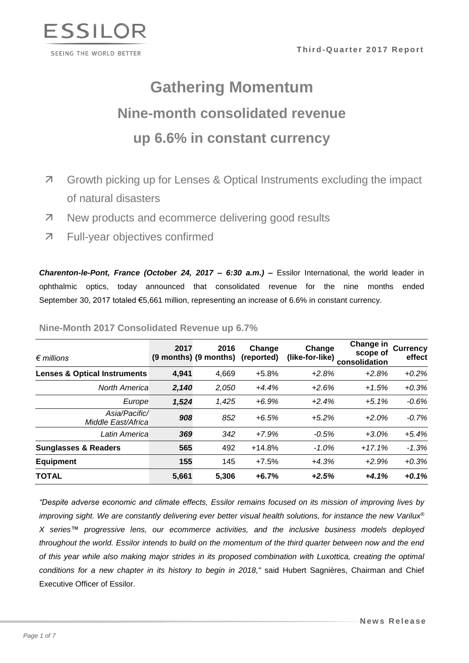

# **Gathering Momentum Nine-month consolidated revenue up 6.6% in constant currency**

- Growth picking up for Lenses & Optical Instruments excluding the impact of natural disasters
- **7** New products and ecommerce delivering good results
- Full-year objectives confirmed

*Charenton-le-Pont, France (October 24, 2017 – 6:30 a.m.)* **–** Essilor International, the world leader in ophthalmic optics, today announced that consolidated revenue for the nine months ended September 30, 2017 totaled €5,661 million, representing an increase of 6.6% in constant currency.

| $\epsilon$ millions                     | 2017  | 2016<br>$(9$ months) $(9$ months) | Change<br>(reported) | Change<br>(like-for-like) | <b>Change in</b><br>scope of<br>consolidation | <b>Currency</b><br>effect |
|-----------------------------------------|-------|-----------------------------------|----------------------|---------------------------|-----------------------------------------------|---------------------------|
| <b>Lenses &amp; Optical Instruments</b> | 4,941 | 4,669                             | $+5.8%$              | $+2.8%$                   | $+2.8%$                                       | $+0.2%$                   |
| <b>North America</b>                    | 2,140 | 2,050                             | $+4.4%$              | $+2.6%$                   | $+1.5%$                                       | $+0.3%$                   |
| Europe                                  | 1,524 | 1,425                             | $+6.9%$              | $+2.4%$                   | $+5.1%$                                       | $-0.6%$                   |
| Asia/Pacific/<br>Middle East/Africa     | 908   | 852                               | $+6.5%$              | $+5.2%$                   | $+2.0%$                                       | $-0.7%$                   |
| Latin America                           | 369   | 342                               | $+7.9%$              | $-0.5%$                   | $+3.0%$                                       | $+5.4%$                   |
| <b>Sunglasses &amp; Readers</b>         | 565   | 492                               | $+14.8%$             | $-1.0\%$                  | $+17.1%$                                      | $-1.3%$                   |
| <b>Equipment</b>                        | 155   | 145                               | $+7.5%$              | $+4.3%$                   | $+2.9%$                                       | $+0.3%$                   |
| TOTAL                                   | 5,661 | 5,306                             | $+6.7%$              | $+2.5%$                   | $+4.1%$                                       | $+0.1%$                   |

**Nine-Month 2017 Consolidated Revenue up 6.7%** 

*"Despite adverse economic and climate effects, Essilor remains focused on its mission of improving lives by improving sight. We are constantly delivering ever better visual health solutions, for instance the new Varilux® X series™ progressive lens, our ecommerce activities, and the inclusive business models deployed throughout the world. Essilor intends to build on the momentum of the third quarter between now and the end of this year while also making major strides in its proposed combination with Luxottica, creating the optimal conditions for a new chapter in its history to begin in 2018,"* said Hubert Sagnières, Chairman and Chief Executive Officer of Essilor.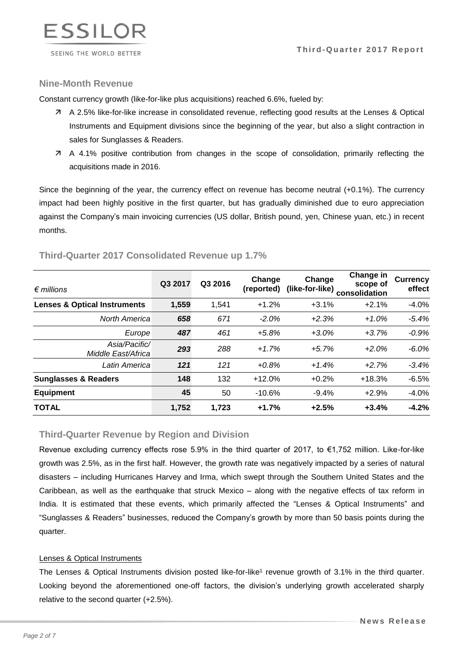

## **Nine-Month Revenue**

Constant currency growth (like-for-like plus acquisitions) reached 6.6%, fueled by:

- A 2.5% like-for-like increase in consolidated revenue, reflecting good results at the Lenses & Optical Instruments and Equipment divisions since the beginning of the year, but also a slight contraction in sales for Sunglasses & Readers.
- A 4.1% positive contribution from changes in the scope of consolidation, primarily reflecting the acquisitions made in 2016.

Since the beginning of the year, the currency effect on revenue has become neutral (+0.1%). The currency impact had been highly positive in the first quarter, but has gradually diminished due to euro appreciation against the Company's main invoicing currencies (US dollar, British pound, yen, Chinese yuan, etc.) in recent months.

| $\epsilon$ millions                     | Q3 2017 | Q3 2016 | Change<br>(reported) | Change  | Change in<br>scope of<br>(like-for-like) consolidation | <b>Currency</b><br>effect |
|-----------------------------------------|---------|---------|----------------------|---------|--------------------------------------------------------|---------------------------|
| <b>Lenses &amp; Optical Instruments</b> | 1,559   | 1,541   | $+1.2%$              | $+3.1%$ | $+2.1%$                                                | $-4.0\%$                  |
| <b>North America</b>                    | 658     | 671     | $-2.0\%$             | $+2.3%$ | $+1.0%$                                                | $-5.4%$                   |
| Europe                                  | 487     | 461     | $+5.8%$              | $+3.0%$ | $+3.7%$                                                | $-0.9%$                   |
| Asia/Pacific/<br>Middle East/Africa     | 293     | 288     | $+1.7%$              | $+5.7%$ | $+2.0%$                                                | $-6.0%$                   |
| Latin America                           | 121     | 121     | $+0.8%$              | $+1.4%$ | $+2.7%$                                                | $-3.4%$                   |
| <b>Sunglasses &amp; Readers</b>         | 148     | 132     | $+12.0%$             | $+0.2%$ | $+18.3%$                                               | $-6.5%$                   |
| <b>Equipment</b>                        | 45      | 50      | $-10.6%$             | $-9.4%$ | $+2.9%$                                                | $-4.0%$                   |
| <b>TOTAL</b>                            | 1,752   | 1.723   | $+1.7%$              | $+2.5%$ | $+3.4%$                                                | $-4.2%$                   |

# **Third-Quarter 2017 Consolidated Revenue up 1.7%**

# **Third-Quarter Revenue by Region and Division**

Revenue excluding currency effects rose 5.9% in the third quarter of 2017, to €1,752 million. Like-for-like growth was 2.5%, as in the first half. However, the growth rate was negatively impacted by a series of natural disasters – including Hurricanes Harvey and Irma, which swept through the Southern United States and the Caribbean, as well as the earthquake that struck Mexico – along with the negative effects of tax reform in India. It is estimated that these events, which primarily affected the "Lenses & Optical Instruments" and "Sunglasses & Readers" businesses, reduced the Company's growth by more than 50 basis points during the quarter.

#### Lenses & Optical Instruments

The Lenses & Optical Instruments division posted like-for-like<sup>1</sup> revenue growth of 3.1% in the third quarter. Looking beyond the aforementioned one-off factors, the division's underlying growth accelerated sharply relative to the second quarter (+2.5%).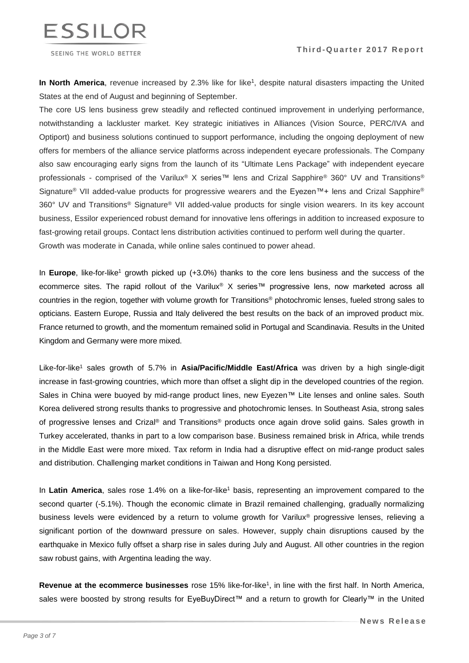



SEEING THE WORLD BETTER

In North America, revenue increased by 2.3% like for like<sup>1</sup>, despite natural disasters impacting the United States at the end of August and beginning of September.

The core US lens business grew steadily and reflected continued improvement in underlying performance, notwithstanding a lackluster market. Key strategic initiatives in Alliances (Vision Source, PERC/IVA and Optiport) and business solutions continued to support performance, including the ongoing deployment of new offers for members of the alliance service platforms across independent eyecare professionals. The Company also saw encouraging early signs from the launch of its "Ultimate Lens Package" with independent eyecare professionals - comprised of the Varilux® X series™ lens and Crizal Sapphire® 360° UV and Transitions® Signature® VII added-value products for progressive wearers and the Eyezen™+ lens and Crizal Sapphire® 360° UV and Transitions® Signature® VII added-value products for single vision wearers. In its key account business, Essilor experienced robust demand for innovative lens offerings in addition to increased exposure to fast-growing retail groups. Contact lens distribution activities continued to perform well during the quarter. Growth was moderate in Canada, while online sales continued to power ahead.

In **Europe**, like-for-like<sup>1</sup> growth picked up (+3.0%) thanks to the core lens business and the success of the ecommerce sites. The rapid rollout of the Varilux® X series™ progressive lens, now marketed across all countries in the region, together with volume growth for Transitions® photochromic lenses, fueled strong sales to opticians. Eastern Europe, Russia and Italy delivered the best results on the back of an improved product mix. France returned to growth, and the momentum remained solid in Portugal and Scandinavia. Results in the United Kingdom and Germany were more mixed.

Like-for-like<sup>1</sup> sales growth of 5.7% in **Asia/Pacific/Middle East/Africa** was driven by a high single-digit increase in fast-growing countries, which more than offset a slight dip in the developed countries of the region. Sales in China were buoyed by mid-range product lines, new Eyezen™ Lite lenses and online sales. South Korea delivered strong results thanks to progressive and photochromic lenses. In Southeast Asia, strong sales of progressive lenses and Crizal® and Transitions® products once again drove solid gains. Sales growth in Turkey accelerated, thanks in part to a low comparison base. Business remained brisk in Africa, while trends in the Middle East were more mixed. Tax reform in India had a disruptive effect on mid-range product sales and distribution. Challenging market conditions in Taiwan and Hong Kong persisted.

In **Latin America**, sales rose 1.4% on a like-for-like<sup>1</sup> basis, representing an improvement compared to the second quarter (-5.1%). Though the economic climate in Brazil remained challenging, gradually normalizing business levels were evidenced by a return to volume growth for Varilux® progressive lenses, relieving a significant portion of the downward pressure on sales. However, supply chain disruptions caused by the earthquake in Mexico fully offset a sharp rise in sales during July and August. All other countries in the region saw robust gains, with Argentina leading the way.

**Revenue at the ecommerce businesses** rose 15% like-for-like<sup>1</sup> , in line with the first half. In North America, sales were boosted by strong results for EyeBuyDirect™ and a return to growth for Clearly™ in the United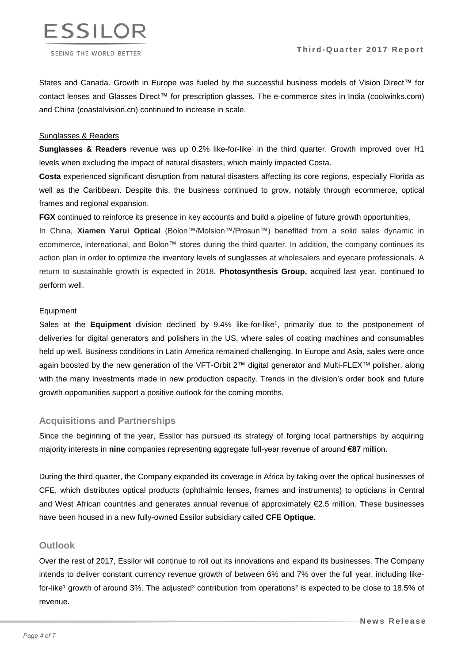

States and Canada. Growth in Europe was fueled by the successful business models of Vision Direct™ for contact lenses and Glasses Direct™ for prescription glasses. The e-commerce sites in India (coolwinks.com) and China (coastalvision.cn) continued to increase in scale.

## Sunglasses & Readers

**Sunglasses & Readers** revenue was up 0.2% like-for-like<sup>1</sup> in the third quarter. Growth improved over H1 levels when excluding the impact of natural disasters, which mainly impacted Costa.

**Costa** experienced significant disruption from natural disasters affecting its core regions, especially Florida as well as the Caribbean. Despite this, the business continued to grow, notably through ecommerce, optical frames and regional expansion.

**FGX** continued to reinforce its presence in key accounts and build a pipeline of future growth opportunities.

In China, **Xiamen Yarui Optical** (Bolon™/Molsion™/Prosun™) benefited from a solid sales dynamic in ecommerce, international, and Bolon™ stores during the third quarter. In addition, the company continues its action plan in order to optimize the inventory levels of sunglasses at wholesalers and eyecare professionals. A return to sustainable growth is expected in 2018. **Photosynthesis Group,** acquired last year, continued to perform well.

#### Equipment

Sales at the **Equipment** division declined by 9.4% like-for-like<sup>1</sup>, primarily due to the postponement of deliveries for digital generators and polishers in the US, where sales of coating machines and consumables held up well. Business conditions in Latin America remained challenging. In Europe and Asia, sales were once again boosted by the new generation of the VFT-Orbit 2™ digital generator and Multi-FLEXTM polisher, along with the many investments made in new production capacity. Trends in the division's order book and future growth opportunities support a positive outlook for the coming months.

# **Acquisitions and Partnerships**

Since the beginning of the year, Essilor has pursued its strategy of forging local partnerships by acquiring majority interests in **nine** companies representing aggregate full-year revenue of around €**87** million.

During the third quarter, the Company expanded its coverage in Africa by taking over the optical businesses of CFE, which distributes optical products (ophthalmic lenses, frames and instruments) to opticians in Central and West African countries and generates annual revenue of approximately €2.5 million. These businesses have been housed in a new fully-owned Essilor subsidiary called **CFE Optique**.

#### **Outlook**

Over the rest of 2017, Essilor will continue to roll out its innovations and expand its businesses. The Company intends to deliver constant currency revenue growth of between 6% and 7% over the full year, including likefor-like<sup>1</sup> growth of around 3%. The adjusted<sup>3</sup> contribution from operations<sup>2</sup> is expected to be close to 18.5% of revenue.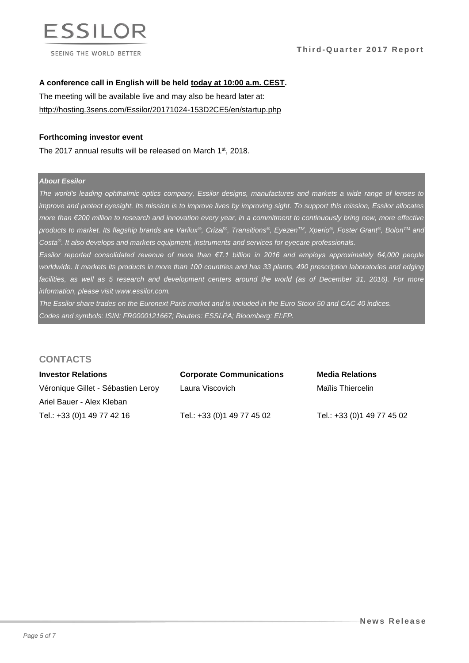

**Third-Quarter 2017 Report** 

#### **A conference call in English will be held today at 10:00 a.m. CEST.**

The meeting will be available live and may also be heard later at: <http://hosting.3sens.com/Essilor/20171024-153D2CE5/en/startup.php>

#### **Forthcoming investor event**

The 2017 annual results will be released on March 1<sup>st</sup>, 2018.

## *About Essilor*

*The world's leading ophthalmic optics company, Essilor designs, manufactures and markets a wide range of lenses to improve and protect eyesight. Its mission is to improve lives by improving sight. To support this mission, Essilor allocates more than €200 million to research and innovation every year, in a commitment to continuously bring new, more effective*  products to market. Its flagship brands are Varilux®, Crizal®, Transitions®, Eyezen™, Xperio®, Foster Grant®, Bolon™ and *Costa®. It also develops and markets equipment, instruments and services for eyecare professionals.*

*Essilor reported consolidated revenue of more than €7.1 billion in 2016 and employs approximately 64,000 people worldwide. It markets its products in more than 100 countries and has 33 plants, 490 prescription laboratories and edging*  facilities, as well as 5 research and development centers around the world (as of December 31, 2016). For more *information, please visit www.essilor.com.*

*The Essilor share trades on the Euronext Paris market and is included in the Euro Stoxx 50 and CAC 40 indices. Codes and symbols: ISIN: FR0000121667; Reuters: ESSI.PA; Bloomberg: EI:FP.*

# **CONTACTS**

| <b>Investor Relations</b>          | <b>Corporate Communications</b> | <b>Media Relations</b>     |
|------------------------------------|---------------------------------|----------------------------|
| Véronique Gillet - Sébastien Leroy | Laura Viscovich                 | Maïlis Thiercelin          |
| Ariel Bauer - Alex Kleban          |                                 |                            |
| Tel.: +33 (0) 1 49 77 42 16        | Tel.: +33 (0) 1 49 77 45 02     | Tel.: +33 (0)1 49 77 45 02 |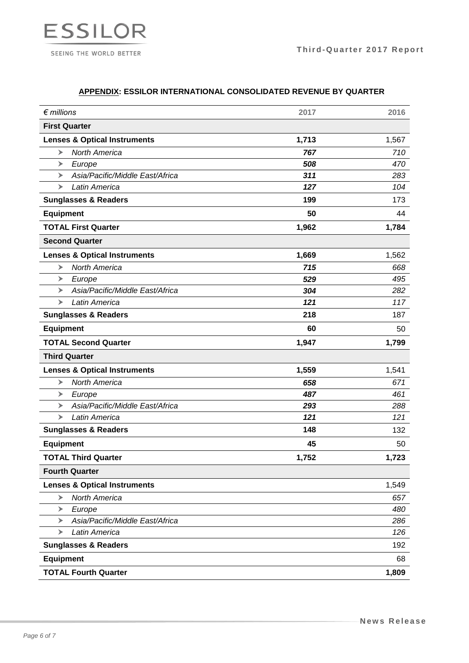

# **APPENDIX: ESSILOR INTERNATIONAL CONSOLIDATED REVENUE BY QUARTER**

| $\epsilon$ millions                     | 2017  | 2016  |
|-----------------------------------------|-------|-------|
| <b>First Quarter</b>                    |       |       |
| <b>Lenses &amp; Optical Instruments</b> | 1,713 | 1,567 |
| <b>North America</b><br>➤               | 767   | 710   |
| Europe<br>➤                             | 508   | 470   |
| Asia/Pacific/Middle East/Africa<br>➤    | 311   | 283   |
| Latin America<br>➤                      | 127   | 104   |
| <b>Sunglasses &amp; Readers</b>         | 199   | 173   |
| <b>Equipment</b>                        | 50    | 44    |
| <b>TOTAL First Quarter</b>              | 1,962 | 1,784 |
| <b>Second Quarter</b>                   |       |       |
| <b>Lenses &amp; Optical Instruments</b> | 1,669 | 1,562 |
| North America<br>➤                      | 715   | 668   |
| ➤<br>Europe                             | 529   | 495   |
| Asia/Pacific/Middle East/Africa<br>➤    | 304   | 282   |
| Latin America<br>➤                      | 121   | 117   |
| <b>Sunglasses &amp; Readers</b>         | 218   | 187   |
| <b>Equipment</b>                        | 60    | 50    |
| <b>TOTAL Second Quarter</b>             | 1,947 | 1,799 |
| <b>Third Quarter</b>                    |       |       |
| <b>Lenses &amp; Optical Instruments</b> | 1,559 | 1,541 |
| <b>North America</b><br>➤               | 658   | 671   |
| Europe<br>➤                             | 487   | 461   |
| Asia/Pacific/Middle East/Africa<br>➤    | 293   | 288   |
| Latin America<br>➤                      | 121   | 121   |
| <b>Sunglasses &amp; Readers</b>         | 148   | 132   |
| <b>Equipment</b>                        | 45    | 50    |
| <b>TOTAL Third Quarter</b>              | 1,752 | 1,723 |
| <b>Fourth Quarter</b>                   |       |       |
| <b>Lenses &amp; Optical Instruments</b> |       | 1,549 |
| <b>North America</b><br>➤               |       | 657   |
| Europe<br>➤                             |       | 480   |
| Asia/Pacific/Middle East/Africa<br>➤    |       | 286   |
| Latin America<br>➤                      |       | 126   |
| <b>Sunglasses &amp; Readers</b>         |       | 192   |
| <b>Equipment</b>                        |       | 68    |
| <b>TOTAL Fourth Quarter</b>             |       | 1,809 |